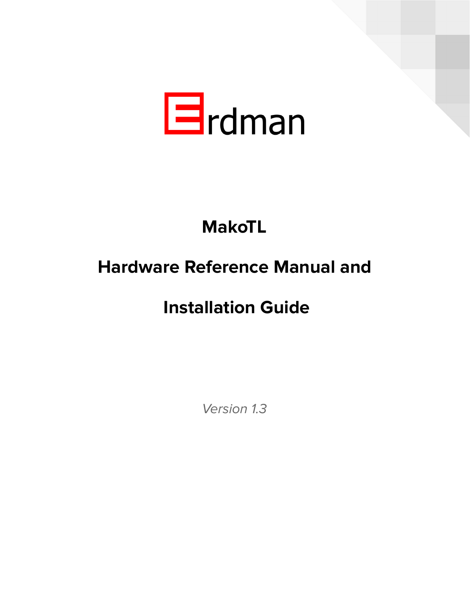

# **MakoTL**

# **Hardware Reference Manual and**

# **Installation Guide**

Version 1.3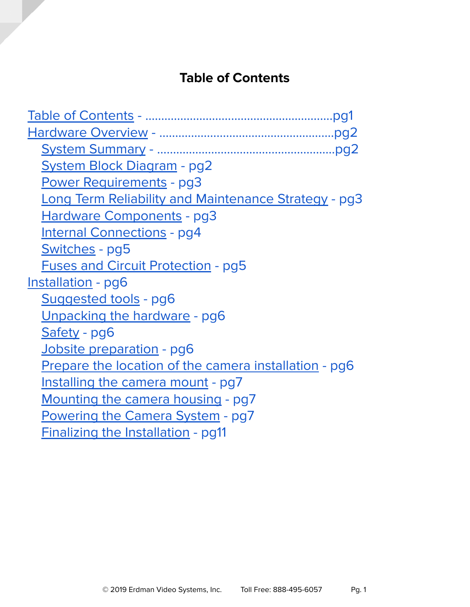# **Table of Contents**

<span id="page-1-0"></span>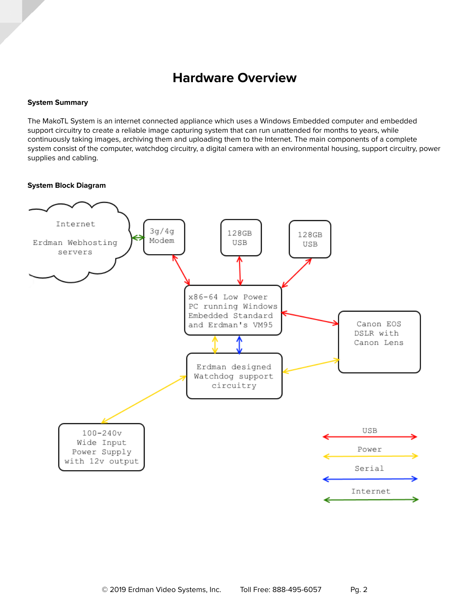# **Hardware Overview**

### <span id="page-2-1"></span><span id="page-2-0"></span>**System Summary**

The MakoTL System is an internet connected appliance which uses a Windows Embedded computer and embedded support circuitry to create a reliable image capturing system that can run unattended for months to years, while continuously taking images, archiving them and uploading them to the Internet. The main components of a complete system consist of the computer, watchdog circuitry, a digital camera with an environmental housing, support circuitry, power supplies and cabling.

# <span id="page-2-2"></span>**System Block Diagram**

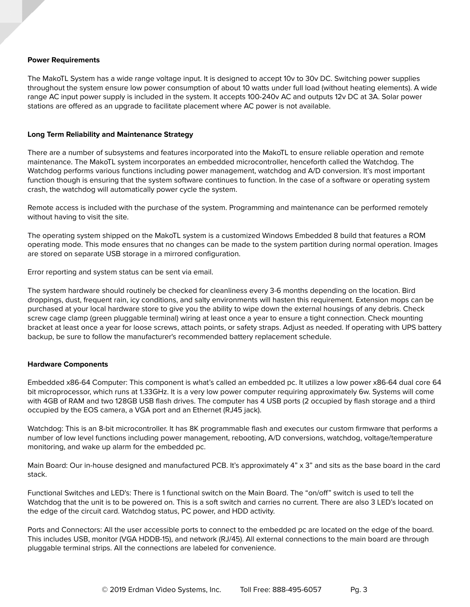#### <span id="page-3-0"></span>**Power Requirements**

The MakoTL System has a wide range voltage input. It is designed to accept 10v to 30v DC. Switching power supplies throughout the system ensure low power consumption of about 10 watts under full load (without heating elements). A wide range AC input power supply is included in the system. It accepts 100-240v AC and outputs 12v DC at 3A. Solar power stations are offered as an upgrade to facilitate placement where AC power is not available.

### <span id="page-3-1"></span>**Long Term Reliability and Maintenance Strategy**

There are a number of subsystems and features incorporated into the MakoTL to ensure reliable operation and remote maintenance. The MakoTL system incorporates an embedded microcontroller, henceforth called the Watchdog. The Watchdog performs various functions including power management, watchdog and A/D conversion. It's most important function though is ensuring that the system software continues to function. In the case of a software or operating system crash, the watchdog will automatically power cycle the system.

Remote access is included with the purchase of the system. Programming and maintenance can be performed remotely without having to visit the site.

The operating system shipped on the MakoTL system is a customized Windows Embedded 8 build that features a ROM operating mode. This mode ensures that no changes can be made to the system partition during normal operation. Images are stored on separate USB storage in a mirrored configuration.

Error reporting and system status can be sent via email.

The system hardware should routinely be checked for cleanliness every 3-6 months depending on the location. Bird droppings, dust, frequent rain, icy conditions, and salty environments will hasten this requirement. Extension mops can be purchased at your local hardware store to give you the ability to wipe down the external housings of any debris. Check screw cage clamp (green pluggable terminal) wiring at least once a year to ensure a tight connection. Check mounting bracket at least once a year for loose screws, attach points, or safety straps. Adjust as needed. If operating with UPS battery backup, be sure to follow the manufacturer's recommended battery replacement schedule.

#### <span id="page-3-2"></span>**Hardware Components**

Embedded x86-64 Computer: This component is what's called an embedded pc. It utilizes a low power x86-64 dual core 64 bit microprocessor, which runs at 1.33GHz. It is a very low power computer requiring approximately 6w. Systems will come with 4GB of RAM and two 128GB USB flash drives. The computer has 4 USB ports (2 occupied by flash storage and a third occupied by the EOS camera, a VGA port and an Ethernet (RJ45 jack).

Watchdog: This is an 8-bit microcontroller. It has 8K programmable flash and executes our custom firmware that performs a number of low level functions including power management, rebooting, A/D conversions, watchdog, voltage/temperature monitoring, and wake up alarm for the embedded pc.

Main Board: Our in-house designed and manufactured PCB. It's approximately 4" x 3" and sits as the base board in the card stack.

Functional Switches and LED's: There is 1 functional switch on the Main Board. The "on/off" switch is used to tell the Watchdog that the unit is to be powered on. This is a soft switch and carries no current. There are also 3 LED's located on the edge of the circuit card. Watchdog status, PC power, and HDD activity.

Ports and Connectors: All the user accessible ports to connect to the embedded pc are located on the edge of the board. This includes USB, monitor (VGA HDDB-15), and network (RJ/45). All external connections to the main board are through pluggable terminal strips. All the connections are labeled for convenience.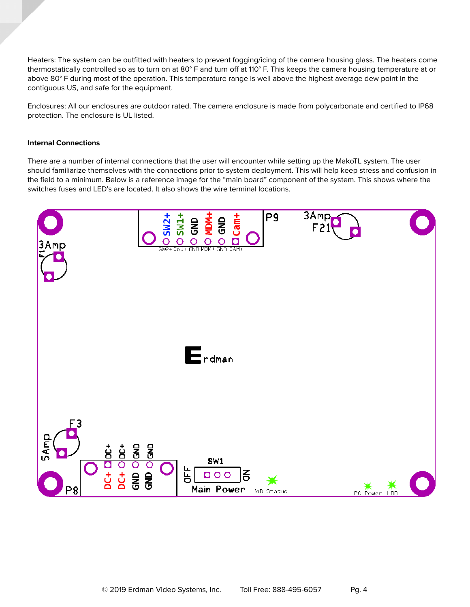Heaters: The system can be outfitted with heaters to prevent fogging/icing of the camera housing glass. The heaters come thermostatically controlled so as to turn on at 80° F and turn off at 110° F. This keeps the camera housing temperature at or above 80° F during most of the operation. This temperature range is well above the highest average dew point in the contiguous US, and safe for the equipment.

Enclosures: All our enclosures are outdoor rated. The camera enclosure is made from polycarbonate and certified to IP68 protection. The enclosure is UL listed.

### <span id="page-4-0"></span>**Internal Connections**

There are a number of internal connections that the user will encounter while setting up the MakoTL system. The user should familiarize themselves with the connections prior to system deployment. This will help keep stress and confusion in the field to a minimum. Below is a reference image for the "main board" component of the system. This shows where the switches fuses and LED's are located. It also shows the wire terminal locations.

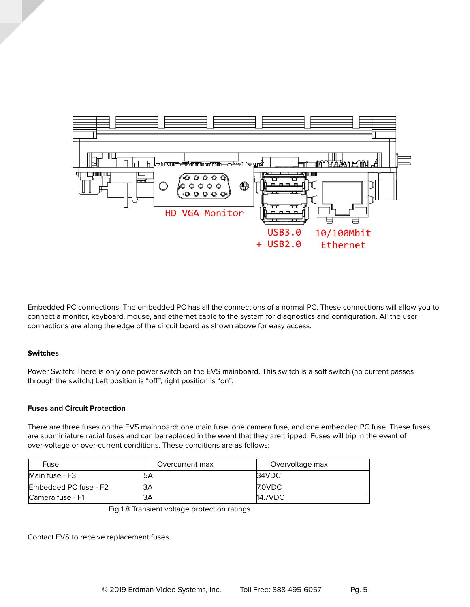

Embedded PC connections: The embedded PC has all the connections of a normal PC. These connections will allow you to connect a monitor, keyboard, mouse, and ethernet cable to the system for diagnostics and configuration. All the user connections are along the edge of the circuit board as shown above for easy access.

# <span id="page-5-0"></span>**Switches**

Power Switch: There is only one power switch on the EVS mainboard. This switch is a soft switch (no current passes through the switch.) Left position is "off", right position is "on".

#### <span id="page-5-1"></span>**Fuses and Circuit Protection**

There are three fuses on the EVS mainboard: one main fuse, one camera fuse, and one embedded PC fuse. These fuses are subminiature radial fuses and can be replaced in the event that they are tripped. Fuses will trip in the event of over-voltage or over-current conditions. These conditions are as follows:

| <b>Fuse</b>           | Overcurrent max | Overvoltage max |
|-----------------------|-----------------|-----------------|
| Main fuse - F3        | l5A             | 34VDC           |
| Embedded PC fuse - F2 | ЗA              | 7.0VDC          |
| Camera fuse - F1      | ßА              | 14.7VDC         |

Fig 1.8 Transient voltage protection ratings

Contact EVS to receive replacement fuses.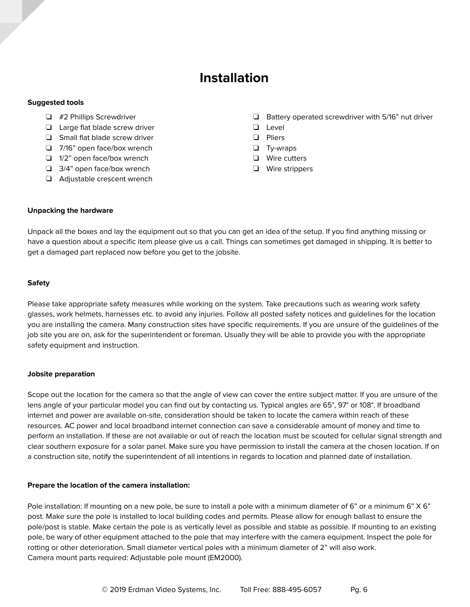# **Installation**

#### <span id="page-6-1"></span><span id="page-6-0"></span>**Suggested tools**

- ❏ #2 Phillips Screwdriver
- ❏ Large flat blade screw driver
- ❏ Small flat blade screw driver
- ❏ 7/16" open face/box wrench
- ❏ 1/2" open face/box wrench
- ❏ 3/4" open face/box wrench
- ❏ Adjustable crescent wrench
- ❏ Battery operated screwdriver with 5/16" nut driver
- ❏ Level
- ❏ Pliers
- ❏ Ty-wraps
- ❏ Wire cutters
- ❏ Wire strippers

# <span id="page-6-2"></span>**Unpacking the hardware**

Unpack all the boxes and lay the equipment out so that you can get an idea of the setup. If you find anything missing or have a question about a specific item please give us a call. Things can sometimes get damaged in shipping. It is better to get a damaged part replaced now before you get to the jobsite.

#### <span id="page-6-3"></span>**Safety**

Please take appropriate safety measures while working on the system. Take precautions such as wearing work safety glasses, work helmets, harnesses etc. to avoid any injuries. Follow all posted safety notices and guidelines for the location you are installing the camera. Many construction sites have specific requirements. If you are unsure of the guidelines of the job site you are on, ask for the superintendent or foreman. Usually they will be able to provide you with the appropriate safety equipment and instruction.

#### <span id="page-6-4"></span>**Jobsite preparation**

Scope out the location for the camera so that the angle of view can cover the entire subject matter. If you are unsure of the lens angle of your particular model you can find out by contacting us. Typical angles are 65°, 97° or 108°. If broadband internet and power are available on-site, consideration should be taken to locate the camera within reach of these resources. AC power and local broadband internet connection can save a considerable amount of money and time to perform an installation. If these are not available or out of reach the location must be scouted for cellular signal strength and clear southern exposure for a solar panel. Make sure you have permission to install the camera at the chosen location. If on a construction site, notify the superintendent of all intentions in regards to location and planned date of installation.

#### <span id="page-6-5"></span>**Prepare the location of the camera installation:**

Pole installation: If mounting on a new pole, be sure to install a pole with a minimum diameter of 6" or a minimum 6" X 6" post. Make sure the pole is installed to local building codes and permits. Please allow for enough ballast to ensure the pole/post is stable. Make certain the pole is as vertically level as possible and stable as possible. If mounting to an existing pole, be wary of other equipment attached to the pole that may interfere with the camera equipment. Inspect the pole for rotting or other deterioration. Small diameter vertical poles with a minimum diameter of 2" will also work. Camera mount parts required: Adjustable pole mount (EM2000).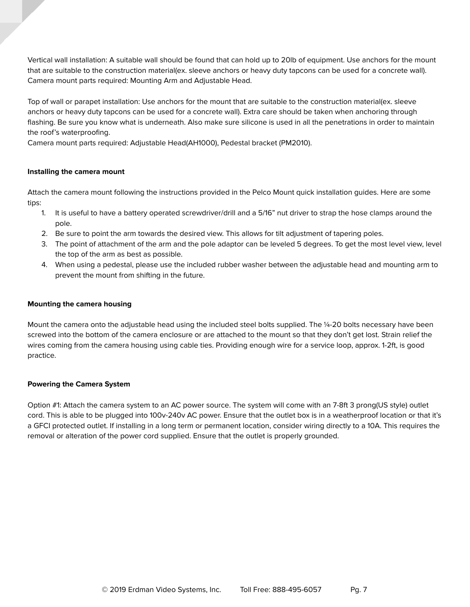Vertical wall installation: A suitable wall should be found that can hold up to 20lb of equipment. Use anchors for the mount that are suitable to the construction material(ex. sleeve anchors or heavy duty tapcons can be used for a concrete wall). Camera mount parts required: Mounting Arm and Adjustable Head.

Top of wall or parapet installation: Use anchors for the mount that are suitable to the construction material(ex. sleeve anchors or heavy duty tapcons can be used for a concrete wall). Extra care should be taken when anchoring through flashing. Be sure you know what is underneath. Also make sure silicone is used in all the penetrations in order to maintain the roof's waterproofing.

Camera mount parts required: Adjustable Head(AH1000), Pedestal bracket (PM2010).

# <span id="page-7-0"></span>**Installing the camera mount**

Attach the camera mount following the instructions provided in the Pelco Mount quick installation guides. Here are some tips:

- 1. It is useful to have a battery operated screwdriver/drill and a 5/16" nut driver to strap the hose clamps around the pole.
- 2. Be sure to point the arm towards the desired view. This allows for tilt adjustment of tapering poles.
- 3. The point of attachment of the arm and the pole adaptor can be leveled 5 degrees. To get the most level view, level the top of the arm as best as possible.
- 4. When using a pedestal, please use the included rubber washer between the adjustable head and mounting arm to prevent the mount from shifting in the future.

# <span id="page-7-1"></span>**Mounting the camera housing**

Mount the camera onto the adjustable head using the included steel bolts supplied. The ¼-20 bolts necessary have been screwed into the bottom of the camera enclosure or are attached to the mount so that they don't get lost. Strain relief the wires coming from the camera housing using cable ties. Providing enough wire for a service loop, approx. 1-2ft, is good practice.

# <span id="page-7-2"></span>**Powering the Camera System**

Option #1: Attach the camera system to an AC power source. The system will come with an 7-8ft 3 prong(US style) outlet cord. This is able to be plugged into 100v-240v AC power. Ensure that the outlet box is in a weatherproof location or that it's a GFCI protected outlet. If installing in a long term or permanent location, consider wiring directly to a 10A. This requires the removal or alteration of the power cord supplied. Ensure that the outlet is properly grounded.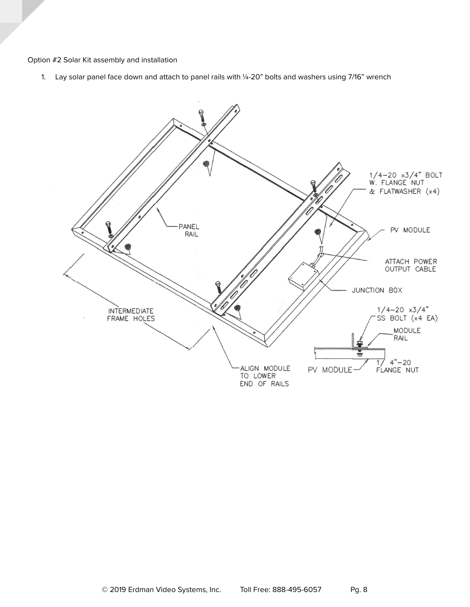Option #2 Solar Kit assembly and installation

1. Lay solar panel face down and attach to panel rails with ¼-20" bolts and washers using 7/16" wrench

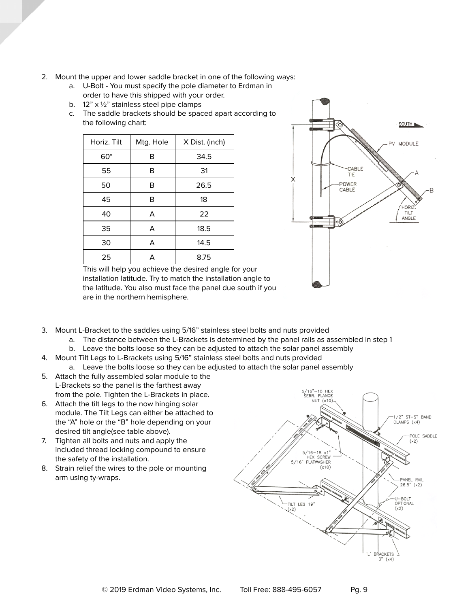- 2. Mount the upper and lower saddle bracket in one of the following ways:
	- a. U-Bolt You must specify the pole diameter to Erdman in order to have this shipped with your order.
	- b. 12"  $\times$  1/2" stainless steel pipe clamps
	- c. The saddle brackets should be spaced apart according to the following chart:

| Horiz. Tilt  | Mtg. Hole | X Dist. (inch) |  |
|--------------|-----------|----------------|--|
| $60^{\circ}$ | B         | 34.5           |  |
| 55           | в         | 31             |  |
| 50           | в         | 26.5           |  |
| 45           | B         | 18             |  |
| 40           | A         | 22             |  |
| 35           | A         | 18.5           |  |
| 30           | A         | 14.5           |  |
| 25           | A         | 8.75           |  |



This will help you achieve the desired angle for your installation latitude. Try to match the installation angle to the latitude. You also must face the panel due south if you are in the northern hemisphere.

- 3. Mount L-Bracket to the saddles using 5/16" stainless steel bolts and nuts provided
	- a. The distance between the L-Brackets is determined by the panel rails as assembled in step 1
	- b. Leave the bolts loose so they can be adjusted to attach the solar panel assembly
- 4. Mount Tilt Legs to L-Brackets using 5/16" stainless steel bolts and nuts provided a. Leave the bolts loose so they can be adjusted to attach the solar panel assembly
- 5. Attach the fully assembled solar module to the L-Brackets so the panel is the farthest away from the pole. Tighten the L-Brackets in place.
- 6. Attach the tilt legs to the now hinging solar module. The Tilt Legs can either be attached to the "A" hole or the "B" hole depending on your desired tilt angle(see table above).
- 7. Tighten all bolts and nuts and apply the included thread locking compound to ensure the safety of the installation.
- 8. Strain relief the wires to the pole or mounting arm using ty-wraps.

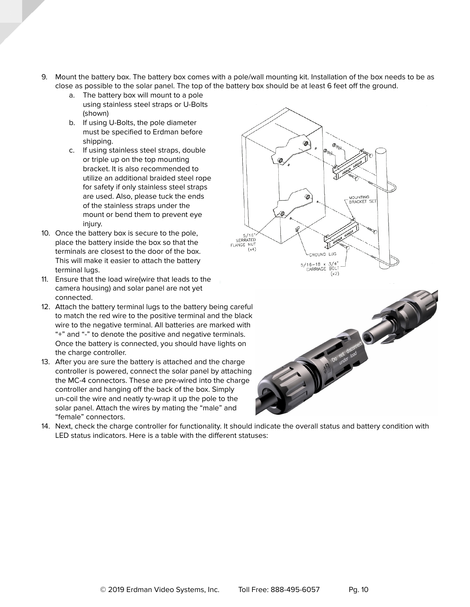- 9. Mount the battery box. The battery box comes with a pole/wall mounting kit. Installation of the box needs to be as close as possible to the solar panel. The top of the battery box should be at least 6 feet off the ground.
	- a. The battery box will mount to a pole using stainless steel straps or U-Bolts (shown)
	- b. If using U-Bolts, the pole diameter must be specified to Erdman before shipping.
	- c. If using stainless steel straps, double or triple up on the top mounting bracket. It is also recommended to utilize an additional braided steel rope for safety if only stainless steel straps are used. Also, please tuck the ends of the stainless straps under the mount or bend them to prevent eye injury.
- 10. Once the battery box is secure to the pole, place the battery inside the box so that the terminals are closest to the door of the box. This will make it easier to attach the battery terminal lugs.
- 11. Ensure that the load wire(wire that leads to the camera housing) and solar panel are not yet connected.
- 12. Attach the battery terminal lugs to the battery being careful to match the red wire to the positive terminal and the black wire to the negative terminal. All batteries are marked with "+" and "-" to denote the positive and negative terminals. Once the battery is connected, you should have lights on the charge controller.
- 13. After you are sure the battery is attached and the charge controller is powered, connect the solar panel by attaching the MC-4 connectors. These are pre-wired into the charge controller and hanging off the back of the box. Simply un-coil the wire and neatly ty-wrap it up the pole to the solar panel. Attach the wires by mating the "male" and "female" connectors.





14. Next, check the charge controller for functionality. It should indicate the overall status and battery condition with LED status indicators. Here is a table with the different statuses: